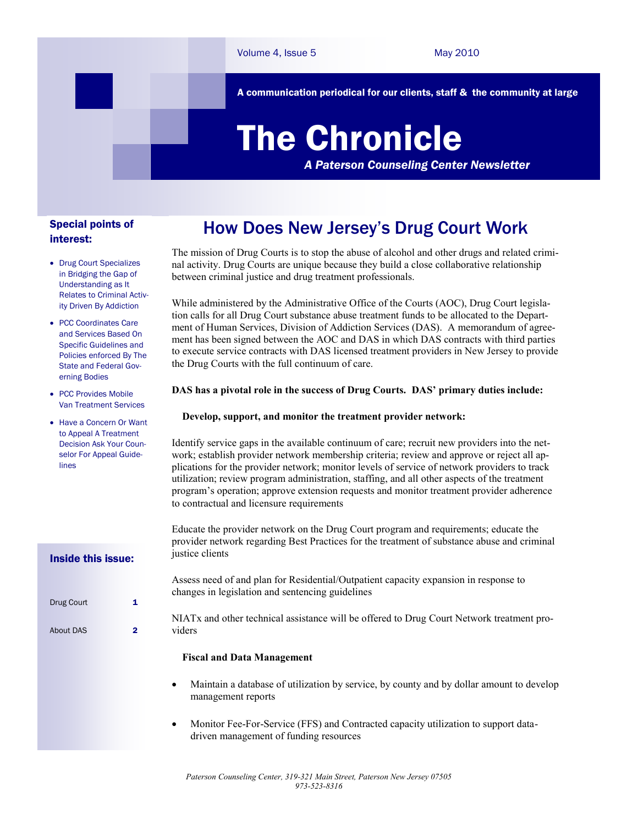A communication periodical for our clients, staff & the community at large

# The Chronicle

*A Paterson Counseling Center Newsletter*

#### Special points of interest:

- Drug Court Specializes in Bridging the Gap of Understanding as It Relates to Criminal Activity Driven By Addiction
- PCC Coordinates Care and Services Based On Specific Guidelines and Policies enforced By The State and Federal Governing Bodies
- PCC Provides Mobile Van Treatment Services
- Have a Concern Or Want to Anneal A Treatment Decision Ask Your Counselor For Appeal Guidelines

Inside this issue:

Drug Court 1

About DAS 2

## How Does New Jersey's Drug Court Work

The mission of Drug Courts is to stop the abuse of alcohol and other drugs and related criminal activity. Drug Courts are unique because they build a close collaborative relationship between criminal justice and drug treatment professionals.

While administered by the Administrative Office of the Courts (AOC), Drug Court legislation calls for all Drug Court substance abuse treatment funds to be allocated to the Department of Human Services, Division of Addiction Services (DAS). A memorandum of agreement has been signed between the AOC and DAS in which DAS contracts with third parties to execute service contracts with DAS licensed treatment providers in New Jersey to provide the Drug Courts with the full continuum of care.

#### **DAS has a pivotal role in the success of Drug Courts. DAS' primary duties include:**

#### **Develop, support, and monitor the treatment provider network:**

Identify service gaps in the available continuum of care; recruit new providers into the network; establish provider network membership criteria; review and approve or reject all applications for the provider network; monitor levels of service of network providers to track utilization; review program administration, staffing, and all other aspects of the treatment program's operation; approve extension requests and monitor treatment provider adherence to contractual and licensure requirements

Educate the provider network on the Drug Court program and requirements; educate the provider network regarding Best Practices for the treatment of substance abuse and criminal justice clients

Assess need of and plan for Residential/Outpatient capacity expansion in response to changes in legislation and sentencing guidelines

NIATx and other technical assistance will be offered to Drug Court Network treatment providers

#### **Fiscal and Data Management**

- Maintain a database of utilization by service, by county and by dollar amount to develop management reports
- Monitor Fee-For-Service (FFS) and Contracted capacity utilization to support datadriven management of funding resources